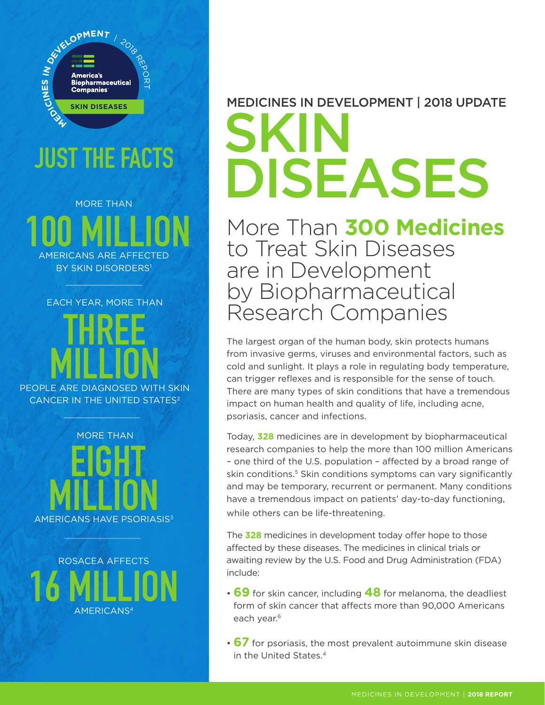

## JUST THE FACTS

MORE THAN 100 MILLION AMERICANS ARE AFFECTED **BY SKIN DISORDERS<sup>1</sup>** 

EACH YEAR, MORE THAN

THREE **MILLION** CANCER IN THE UNITED STATES<sup>2</sup>

 MORE THAN **EIGHT** MILLION

ROSACEA AFFECTS 16 MILLION AMERICANS4

## MEDICINES IN DEVELOPMENT | 2018 UPDATE SKI DISEASES

More Than **300 Medicines** to Treat Skin Diseases are in Development by Biopharmaceutical Research Companies

The largest organ of the human body, skin protects humans from invasive germs, viruses and environmental factors, such as cold and sunlight. It plays a role in regulating body temperature, can trigger reflexes and is responsible for the sense of touch. There are many types of skin conditions that have a tremendous impact on human health and quality of life, including acne, psoriasis, cancer and infections.

Today, **328** medicines are in development by biopharmaceutical research companies to help the more than 100 million Americans – one third of the U.S. population – affected by a broad range of skin conditions.<sup>5</sup> Skin conditions symptoms can vary significantly and may be temporary, recurrent or permanent. Many conditions have a tremendous impact on patients' day-to-day functioning, while others can be life-threatening.

The **328** medicines in development today offer hope to those affected by these diseases. The medicines in clinical trials or awaiting review by the U.S. Food and Drug Administration (FDA) include:

- **69** for skin cancer, including **48** for melanoma, the deadliest form of skin cancer that affects more than 90,000 Americans each year.<sup>6</sup>
- **67** for psoriasis, the most prevalent autoimmune skin disease in the United States.4